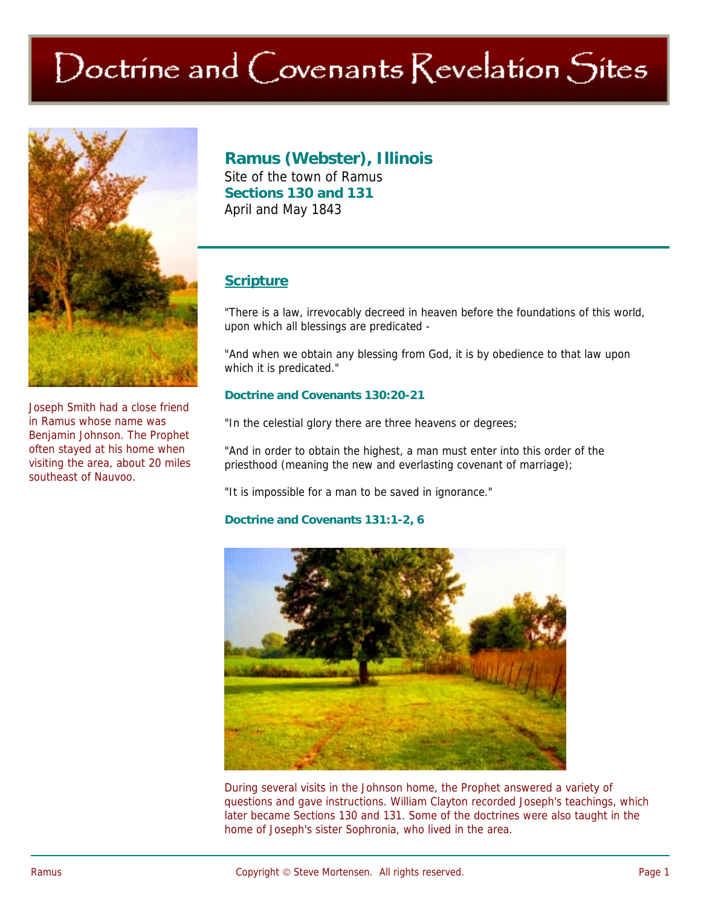# Doctrine and Covenants Revelation Sites



Joseph Smith had a close friend in Ramus whose name was Benjamin Johnson. The Prophet often stayed at his home when visiting the area, about 20 miles southeast of Nauvoo.

## **Ramus (Webster), Illinois**

Site of the town of Ramus **Sections 130 and 131**  April and May 1843

## **Scripture**

"There is a law, irrevocably decreed in heaven before the foundations of this world, upon which all blessings are predicated -

"And when we obtain any blessing from God, it is by obedience to that law upon which it is predicated."

#### **Doctrine and Covenants 130:20-21**

"In the celestial glory there are three heavens or degrees;

"And in order to obtain the highest, a man must enter into this order of the priesthood (meaning the new and everlasting covenant of marriage);

"It is impossible for a man to be saved in ignorance."

#### **Doctrine and Covenants 131:1-2, 6**



During several visits in the Johnson home, the Prophet answered a variety of questions and gave instructions. William Clayton recorded Joseph's teachings, which later became Sections 130 and 131. Some of the doctrines were also taught in the home of Joseph's sister Sophronia, who lived in the area.